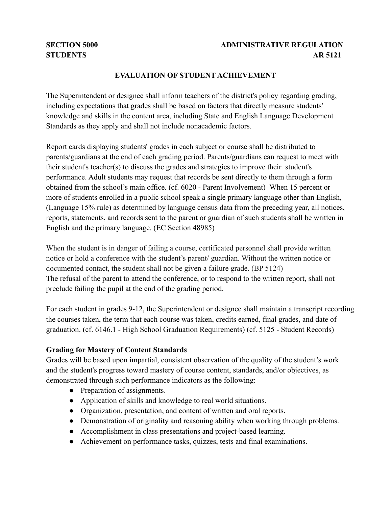# **SECTION 5000 ADMINISTRATIVE REGULATION STUDENTS AR 5121**

## **EVALUATION OF STUDENT ACHIEVEMENT**

The Superintendent or designee shall inform teachers of the district's policy regarding grading, including expectations that grades shall be based on factors that directly measure students' knowledge and skills in the content area, including State and English Language Development Standards as they apply and shall not include nonacademic factors.

Report cards displaying students' grades in each subject or course shall be distributed to parents/guardians at the end of each grading period. Parents/guardians can request to meet with their student's teacher(s) to discuss the grades and strategies to improve their student's performance. Adult students may request that records be sent directly to them through a form obtained from the school's main office. (cf. 6020 - Parent Involvement) When 15 percent or more of students enrolled in a public school speak a single primary language other than English, (Language 15% rule) as determined by language census data from the preceding year, all notices, reports, statements, and records sent to the parent or guardian of such students shall be written in English and the primary language. (EC Section 48985)

When the student is in danger of failing a course, certificated personnel shall provide written notice or hold a conference with the student's parent/ guardian. Without the written notice or documented contact, the student shall not be given a failure grade. (BP 5124) The refusal of the parent to attend the conference, or to respond to the written report, shall not preclude failing the pupil at the end of the grading period.

For each student in grades 9-12, the Superintendent or designee shall maintain a transcript recording the courses taken, the term that each course was taken, credits earned, final grades, and date of graduation. (cf. 6146.1 - High School Graduation Requirements) (cf. 5125 - Student Records)

### **Grading for Mastery of Content Standards**

Grades will be based upon impartial, consistent observation of the quality of the student's work and the student's progress toward mastery of course content, standards, and/or objectives, as demonstrated through such performance indicators as the following:

- Preparation of assignments.
- Application of skills and knowledge to real world situations.
- Organization, presentation, and content of written and oral reports.
- Demonstration of originality and reasoning ability when working through problems.
- Accomplishment in class presentations and project-based learning.
- Achievement on performance tasks, quizzes, tests and final examinations.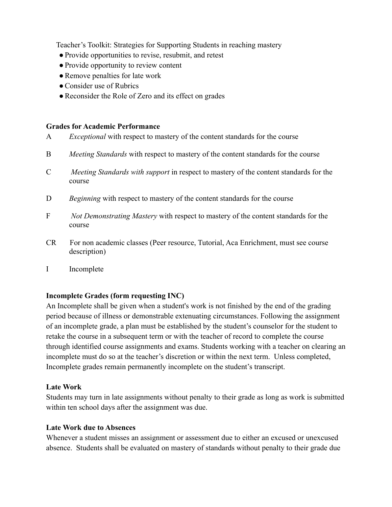Teacher's Toolkit: Strategies for Supporting Students in reaching mastery

- ●Provide opportunities to revise, resubmit, and retest
- Provide opportunity to review content
- Remove penalties for late work
- Consider use of Rubrics
- Reconsider the Role of Zero and its effect on grades

#### **Grades for Academic Performance**

- A *Exceptional* with respect to mastery of the content standards for the course
- B *Meeting Standards* with respect to mastery of the content standards for the course
- C *Meeting Standards with support* in respect to mastery of the content standards for the course
- D *Beginning* with respect to mastery of the content standards for the course
- F *Not Demonstrating Mastery* with respect to mastery of the content standards for the course
- CR For non academic classes (Peer resource, Tutorial, Aca Enrichment, must see course description)
- I Incomplete

### **Incomplete Grades (form requesting INC)**

An Incomplete shall be given when a student's work is not finished by the end of the grading period because of illness or demonstrable extenuating circumstances. Following the assignment of an incomplete grade, a plan must be established by the student's counselor for the student to retake the course in a subsequent term or with the teacher of record to complete the course through identified course assignments and exams. Students working with a teacher on clearing an incomplete must do so at the teacher's discretion or within the next term. Unless completed, Incomplete grades remain permanently incomplete on the student's transcript.

### **Late Work**

Students may turn in late assignments without penalty to their grade as long as work is submitted within ten school days after the assignment was due.

### **Late Work due to Absences**

Whenever a student misses an assignment or assessment due to either an excused or unexcused absence. Students shall be evaluated on mastery of standards without penalty to their grade due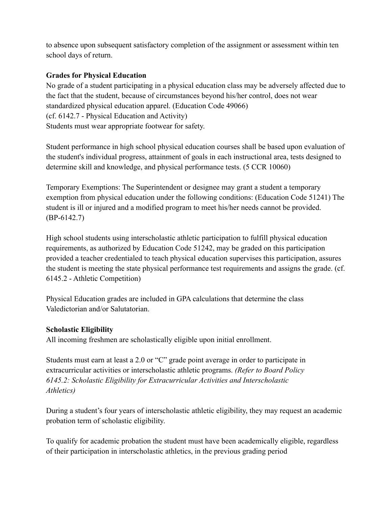to absence upon subsequent satisfactory completion of the assignment or assessment within ten school days of return.

## **Grades for Physical Education**

No grade of a student participating in a physical education class may be adversely affected due to the fact that the student, because of circumstances beyond his/her control, does not wear standardized physical education apparel. (Education Code 49066) (cf. 6142.7 - Physical Education and Activity) Students must wear appropriate footwear for safety.

Student performance in high school physical education courses shall be based upon evaluation of the student's individual progress, attainment of goals in each instructional area, tests designed to determine skill and knowledge, and physical performance tests. (5 CCR 10060)

Temporary Exemptions: The Superintendent or designee may grant a student a temporary exemption from physical education under the following conditions: (Education Code 51241) The student is ill or injured and a modified program to meet his/her needs cannot be provided. (BP-6142.7)

High school students using interscholastic athletic participation to fulfill physical education requirements, as authorized by Education Code 51242, may be graded on this participation provided a teacher credentialed to teach physical education supervises this participation, assures the student is meeting the state physical performance test requirements and assigns the grade. (cf. 6145.2 - Athletic Competition)

Physical Education grades are included in GPA calculations that determine the class Valedictorian and/or Salutatorian.

### **Scholastic Eligibility**

All incoming freshmen are scholastically eligible upon initial enrollment.

Students must earn at least a 2.0 or "C" grade point average in order to participate in extracurricular activities or interscholastic athletic programs. *(Refer to Board Policy 6145.2: Scholastic Eligibility for Extracurricular Activities and Interscholastic Athletics)*

During a student's four years of interscholastic athletic eligibility, they may request an academic probation term of scholastic eligibility.

To qualify for academic probation the student must have been academically eligible, regardless of their participation in interscholastic athletics, in the previous grading period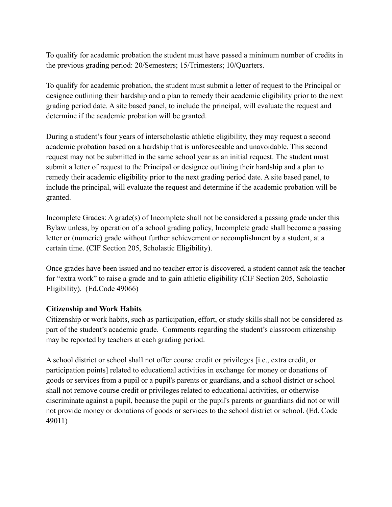To qualify for academic probation the student must have passed a minimum number of credits in the previous grading period: 20/Semesters; 15/Trimesters; 10/Quarters.

To qualify for academic probation, the student must submit a letter of request to the Principal or designee outlining their hardship and a plan to remedy their academic eligibility prior to the next grading period date. A site based panel, to include the principal, will evaluate the request and determine if the academic probation will be granted.

During a student's four years of interscholastic athletic eligibility, they may request a second academic probation based on a hardship that is unforeseeable and unavoidable. This second request may not be submitted in the same school year as an initial request. The student must submit a letter of request to the Principal or designee outlining their hardship and a plan to remedy their academic eligibility prior to the next grading period date. A site based panel, to include the principal, will evaluate the request and determine if the academic probation will be granted.

Incomplete Grades: A grade(s) of Incomplete shall not be considered a passing grade under this Bylaw unless, by operation of a school grading policy, Incomplete grade shall become a passing letter or (numeric) grade without further achievement or accomplishment by a student, at a certain time. (CIF Section 205, Scholastic Eligibility).

Once grades have been issued and no teacher error is discovered, a student cannot ask the teacher for "extra work" to raise a grade and to gain athletic eligibility (CIF Section 205, Scholastic Eligibility). (Ed.Code 49066)

### **Citizenship and Work Habits**

Citizenship or work habits, such as participation, effort, or study skills shall not be considered as part of the student's academic grade. Comments regarding the student's classroom citizenship may be reported by teachers at each grading period.

A school district or school shall not offer course credit or privileges [i.e., extra credit, or participation points] related to educational activities in exchange for money or donations of goods or services from a pupil or a pupil's parents or guardians, and a school district or school shall not remove course credit or privileges related to educational activities, or otherwise discriminate against a pupil, because the pupil or the pupil's parents or guardians did not or will not provide money or donations of goods or services to the school district or school. (Ed. Code 49011)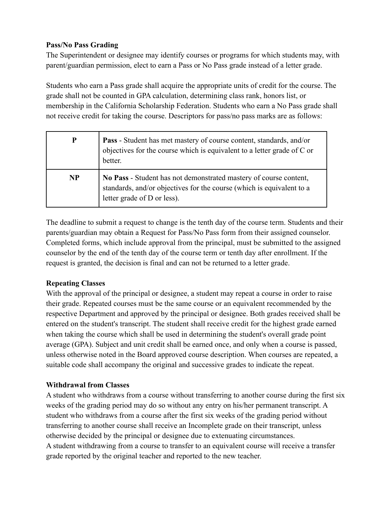## **Pass/No Pass Grading**

The Superintendent or designee may identify courses or programs for which students may, with parent/guardian permission, elect to earn a Pass or No Pass grade instead of a letter grade.

Students who earn a Pass grade shall acquire the appropriate units of credit for the course. The grade shall not be counted in GPA calculation, determining class rank, honors list, or membership in the California Scholarship Federation. Students who earn a No Pass grade shall not receive credit for taking the course. Descriptors for pass/no pass marks are as follows:

| $\mathbf P$ | Pass - Student has met mastery of course content, standards, and/or<br>objectives for the course which is equivalent to a letter grade of C or<br>better.                 |
|-------------|---------------------------------------------------------------------------------------------------------------------------------------------------------------------------|
| <b>NP</b>   | No Pass - Student has not demonstrated mastery of course content,<br>standards, and/or objectives for the course (which is equivalent to a<br>letter grade of D or less). |

The deadline to submit a request to change is the tenth day of the course term. Students and their parents/guardian may obtain a Request for Pass/No Pass form from their assigned counselor. Completed forms, which include approval from the principal, must be submitted to the assigned counselor by the end of the tenth day of the course term or tenth day after enrollment. If the request is granted, the decision is final and can not be returned to a letter grade.

# **Repeating Classes**

With the approval of the principal or designee, a student may repeat a course in order to raise their grade. Repeated courses must be the same course or an equivalent recommended by the respective Department and approved by the principal or designee. Both grades received shall be entered on the student's transcript. The student shall receive credit for the highest grade earned when taking the course which shall be used in determining the student's overall grade point average (GPA). Subject and unit credit shall be earned once, and only when a course is passed, unless otherwise noted in the Board approved course description. When courses are repeated, a suitable code shall accompany the original and successive grades to indicate the repeat.

# **Withdrawal from Classes**

A student who withdraws from a course without transferring to another course during the first six weeks of the grading period may do so without any entry on his/her permanent transcript. A student who withdraws from a course after the first six weeks of the grading period without transferring to another course shall receive an Incomplete grade on their transcript, unless otherwise decided by the principal or designee due to extenuating circumstances. A student withdrawing from a course to transfer to an equivalent course will receive a transfer grade reported by the original teacher and reported to the new teacher.